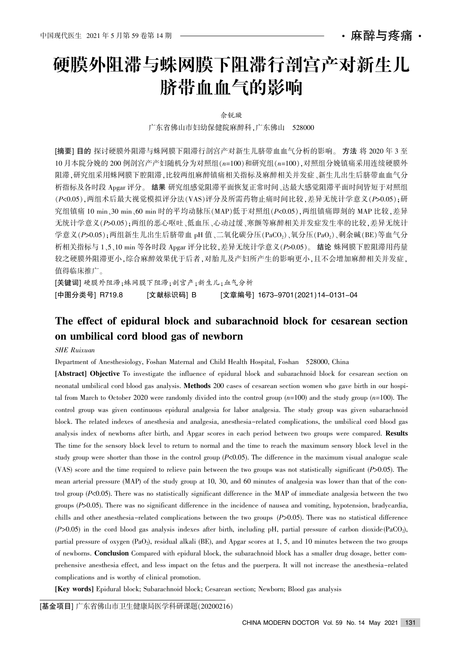麻醉与疼痛 ・

# 硬膜外阻滞与蛛网膜下阻滞行剖宫产对新生儿 脐带血血气的影响

佘锐璇

广东省佛山市妇幼保健院麻醉科,广东佛山 528000

[摘要] 目的 探讨硬膜外阻滞与蛛网膜下阻滞行剖宫产对新生儿脐带血血气分析的影响。方法 将 2020 年 3 至 10 月本院分娩的 200 例剖宫产产妇随机分为对照组(n=100)和研究组(n=100),对照组分娩镇痛采用连续硬膜外 阻滞,研究组采用蛛网膜下腔阻滞,比较两组麻醉镇痛相关指标及麻醉相关并发症、新生儿出生后脐带血血气分 析指标及各时段 Apgar 评分。 结果 研究组感觉阻滞平面恢复正常时间、达最大感觉阻滞平面时间皆短于对照组 (P<0.05), 两组术后最大视觉模拟评分法(VAS)评分及所需药物止痛时间比较, 差异无统计学意义(P>0.05); 研 究组镇痛 10 min、30 min、60 min 时的平均动脉压(MAP)低于对照组( $P$ <0.05), 两组镇痛即刻的 MAP 比较, 差异 无统计学意义(P>0.05);两组的恶心呕吐、低血压、心动过缓、寒颤等麻醉相关并发症发生率的比较,差异无统计 学意义 $(Ps0.05)$ : 两组新生儿出生后脐带血 pH 值、二氧化碳分压 $(PaCO_2)$ 、氧分压 $(PaO_2)$ 、剩余碱 $(BE)$ 等血气分 析相关指标与 1、5、10 min 等各时段 Apgar 评分比较, 差异无统计学意义(P>0.05)。 结论 蛛网膜下腔阻滞用药量 较之硬膜外阻滞更小,综合麻醉效果优于后者,对胎儿及产妇所产生的影响更小,且不会增加麻醉相关并发症, 值得临床推广。

[关键词] 硬膜外阻滞;蛛网膜下阻滞;剖宫产;新生儿;血气分析

[中图分类号] R719.8 [文献标识码] B [文章编号] 1673-9701(2021)14-0131-04

## The effect of epidural block and subarachnoid block for cesarean section on umbilical cord blood gas of newborn

#### SHE Ruixuan

Department of Anesthesiology, Foshan Maternal and Child Health Hospital, Foshan 528000, China

[Abstract] Objective To investigate the influence of epidural block and subarachnoid block for cesarean section on neonatal umbilical cord blood gas analysis. Methods 200 cases of cesarean section women who gave birth in our hospital from March to October 2020 were randomly divided into the control group  $(n=100)$  and the study group  $(n=100)$ . The control group was given continuous epidural analgesia for labor analgesia. The study group was given subarachnoid block. The related indexes of anesthesia and analgesia, anesthesia-related complications, the umbilical cord blood gas analysis index of newborns after birth, and Apgar scores in each period between two groups were compared. Results The time for the sensory block level to return to normal and the time to reach the maximum sensory block level in the study group were shorter than those in the control group  $(P<0.05)$ . The difference in the maximum visual analogue scale (VAS) score and the time required to relieve pain between the two groups was not statistically significant  $(P>0.05)$ . The mean arterial pressure (MAP) of the study group at 10, 30, and 60 minutes of analgesia was lower than that of the control group  $(P<0.05)$ . There was no statistically significant difference in the MAP of immediate analgesia between the two groups  $(P>0.05)$ . There was no significant difference in the incidence of nausea and vomiting, hypotension, bradycardia, chills and other anesthesia-related complications between the two groups (P>0.05). There was no statistical difference  $(P>0.05)$  in the cord blood gas analysis indexes after birth, including pH, partial pressure of carbon dioxide(PaCO2), partial pressure of oxygen (PaO2), residual alkali (BE), and Apgar scores at 1, 5, and 10 minutes between the two groups of newborns. Conclusion Compared with epidural block, the subarachnoid block has a smaller drug dosage, better comprehensive anesthesia effect, and less impact on the fetus and the puerpera. It will not increase the anesthesia-related complications and is worthy of clinical promotion.

[Key words] Epidural block; Subarachnoid block; Cesarean section; Newborn; Blood gas analysis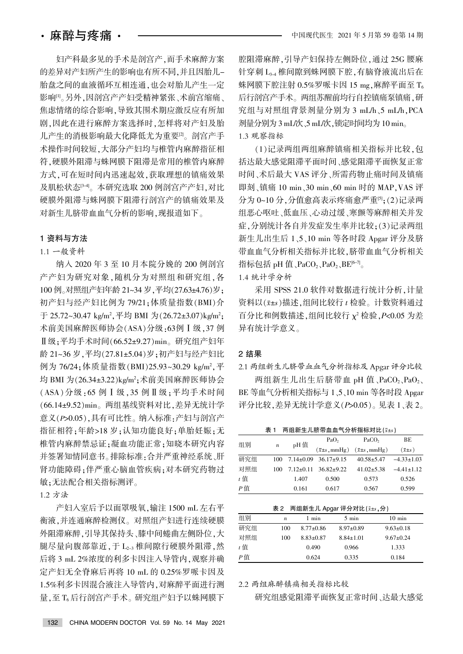妇产科最多见的手术是剖宫产,而手术麻醉方案 的差异对产妇所产生的影响也有所不同,并且因胎儿-胎盘之间的血液循环互相连通,也会对胎儿产生一定 影响[1]。另外,因剖宫产产妇受精神紧张、术前宫缩痛、 焦虑情绪的综合影响,导致其围术期应激反应有所加 剧,因此在进行麻醉方案选择时,怎样将对产妇及胎 儿产生的消极影响最大化降低尤为重要[2]。剖宫产手 术操作时间较短,大部分产妇均与椎管内麻醉指征相 符,硬膜外阻滞与蛛网膜下阻滞是常用的椎管内麻醉 方式,可在短时间内迅速起效,获取理想的镇痛效果 及肌松状态<sup>[3-4]</sup>。本研究选取 200 例剖宫产产妇,对比 硬膜外阻滞与蛛网膜下阻滞行剖宫产的镇痛效果及 对新生儿脐带血血气分析的影响,现报道如下。

#### 1 资料与方法

#### 1.1 一般资料

纳入 2020 年 3 至 10 月本院分娩的 200 例剖宫 产产妇为研究对象,随机分为对照组和研究组,各 100 例。对照组产妇年龄 21~34 岁, 平均(27.63±4.76)岁; 初产妇与经产妇比例为 79/21;体质量指数(BMI)介 于 25.72~30.47 kg/m<sup>2</sup>,平均 BMI 为(26.72±3.07)kg/m<sup>2</sup>; 术前美国麻醉医师协会 $(ASA)$ 分级:63例 I 级,37 例  $\mathbb{I}$ 级;平均手术时间 $(66.52 \pm 9.27)$ min。研究组产妇年 龄 21~36 岁, 平均(27.81±5.04) 岁; 初产妇与经产妇比 例为 76/24;体质量指数(BMI)25.93~30.29 kg/m<sup>2</sup>,平 均 BMI 为(26.34±3.22)kg/m<sup>2</sup>;术前美国麻醉医师协会  $(ASA)\n$ 分级: 65 例 I 级, 35 例 II 级; 平均手术时间 (66.14±9.52)min。两组基线资料对比, 差异无统计学 意义(P>0.05),具有可比性。纳入标准:产妇与剖宫产 指征相符:年龄>18 岁:认知功能良好:单胎妊娠:无 椎管内麻醉禁忌证;凝血功能正常;知晓本研究内容 并签署知情同意书。排除标准:合并严重神经系统、肝 肾功能障碍;伴严重心脑血管疾病;对本研究药物过 敏:无法配合相关指标测评。

1.2 方法

产妇入室后予以面罩吸氧, 输注 1500 mL 左右平 衡液,并连通麻醉检测仪。对照组产妇进行连续硬膜 外阻滞麻醉,引导其保持头、膝中间蜷曲左侧卧位,大 腿尽量向腹部靠近,于 L2-3 椎间隙行硬膜外阻滞,然 后将 3 mL 2%浓度的利多卡因注入导管内, 观察并确 定产妇无全脊麻后再将 10 mL 的 0.25%罗哌卡因及 1.5%利多卡因混合液注入导管内,对麻醉平面进行测 量,至 T<sub>6</sub> 后行剖宫产手术。研究组产妇予以蛛网膜下 腔阻滞麻醉,引导产妇保持左侧卧位,通过 25G 腰麻 针穿刺 L3-4 椎间隙到蛛网膜下腔,有脑脊液流出后在 蛛网膜下腔注射  $0.5\%$ 罗哌卡因 15 mg,麻醉平面至 T. 后行剖宫产手术。两组苏醒前均行自控镇痛泵镇痛,研 究组与对照组背景剂量分别为 3 mL/h、5 mL/h, PCA 剂量分别为 3 mL/次、5 mL/次,锁定时间均为 10 min。 1.3 观察指标

(1)记录两组两组麻醉镇痛相关指标并比较,包 括达最大感觉阻滞平面时间、感觉阻滞平面恢复正常 时间、术后最大 VAS 评分、所需药物止痛时间及镇痛 即刻、镇痛 10 min、30 min、60 min 时的 MAP, VAS 评 分为 0~10分, 分值愈高表示疼痛愈严重[5]; (2)记录两 组恶心呕吐、低血压、心动过缓、寒颤等麻醉相关并发 症,分别统计各自并发症发生率并比较:(3)记录两组 新生儿出生后 1、5、10 min 等各时段 Apgar 评分及脐 带血血气分析相关指标并比较, 脐带血血气分析相关 指标包括 pH 值、PaCO2、PaO2、BE<sup>[6-7]</sup>。

1.4 统计学分析

采用 SPSS 21.0 软件对数据进行统计分析, 计量 资料以 $(\bar{x} \pm s)$ 描述,组间比较行  $t$  检验。计数资料通过 百分比和例数描述,组间比较行  $\chi^2$  检验, P<0.05 为差 异有统计学意义。

### 2 结果

2.1 两组新生儿脐带血血气分析指标及 Apgar 评分比较

两组新生儿出生后脐带血 pH 值、PaCO2、PaO2、 BE 等血气分析相关指标与 1、5、10 min 等各时段 Apgar 评分比较, 差异无统计学意义 ( $P > 0.05$ )。见表 1、表 2。

|       | 表 1              |                 |                                     | 两组新生儿脐带血血气分析指标对比(x+s)          |                   |
|-------|------------------|-----------------|-------------------------------------|--------------------------------|-------------------|
| 组别    |                  | pH 值            | PaO <sub>2</sub>                    | PaCO <sub>2</sub>              | BE                |
|       | $\boldsymbol{n}$ |                 | $(\bar{x} \pm s \cdot \text{mmHg})$ | $(\bar{x} \pm s, \text{mmHg})$ | $(\bar{x} \pm s)$ |
| 研究组   | 100              | $7.14 \pm 0.09$ | $36.17+9.15$                        | $40.58 + 5.47$                 | $-4.33 \pm 1.03$  |
| 对照组   | 100              | $7.12 \pm 0.11$ | $36.82+9.22$                        | $41.02 + 5.38$                 | $-4.41 \pm 1.12$  |
| $t$ 值 |                  | 1.407           | 0.500                               | 0.573                          | 0.526             |
| $P$ 值 |                  | 0.161           | 0.617                               | 0.567                          | 0.599             |

| 两组新生儿 Apgar 评分对比(x+s,分)<br>表 2 |                  |                 |                 |                  |  |  |
|--------------------------------|------------------|-----------------|-----------------|------------------|--|--|
| 组别                             | $\boldsymbol{n}$ | 1 min           | $5 \text{ min}$ | $10 \text{ min}$ |  |  |
| 研究组                            | 100              | $8.77 \pm 0.86$ | $8.97 \pm 0.89$ | $9.63 \pm 0.18$  |  |  |
| 对照组                            | 100              | $8.83 + 0.87$   | $8.84 \pm 1.01$ | $9.67 \pm 0.24$  |  |  |
| $t$ 值                          |                  | 0.490           | 0.966           | 1.333            |  |  |
| Р值                             |                  | 0.624           | 0.335           | 0.184            |  |  |

2.2 两组麻醉镇痛相关指标比较

研究组感觉阻滞平面恢复正常时间、达最大感觉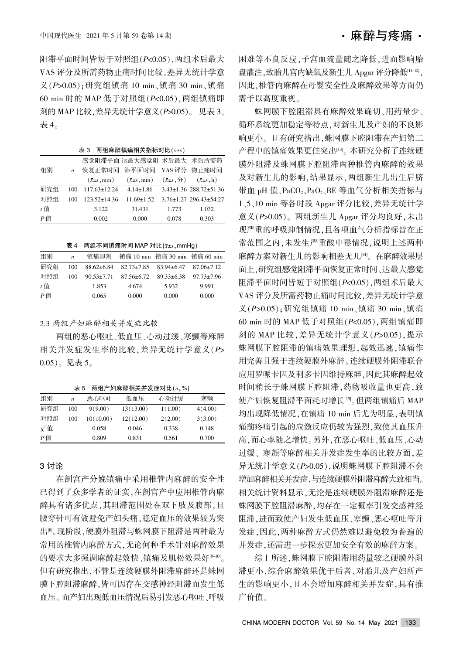阻滞平面时间皆短于对照组(P<0.05), 两组术后最大 VAS 评分及所需药物止痛时间比较,差异无统计学意 义(P>0.05);研究组镇痛 10 min、镇痛 30 min、镇痛  $60$  min 时的 MAP 低于对照组 $(P< 0.05)$ , 两组镇痛即 刻的 MAP 比较, 差异无统计学意义 (P>0.05)。见表 3、 表 4。

|       |                |                              | 感觉阻滞平面 达最大感觉阻 术后最大 术后所需药     |                            |                                    |
|-------|----------------|------------------------------|------------------------------|----------------------------|------------------------------------|
| 组别    | $\overline{n}$ |                              | 恢复正常时间 滞平面时间 VAS评分 物止痛时间     |                            |                                    |
|       |                | $(\bar{x} \pm s \cdot \min)$ | $(\bar{x} \pm s \cdot \min)$ | $(\bar{x} \pm s, \hat{y})$ | $(\bar{x} \pm s, h)$               |
| 研究组   | 100            | $117.63 \pm 12.24$           | $4.14 \pm 1.86$              |                            | $3.43 \pm 1.36$ 288.72 $\pm$ 51.36 |
| 对照组   | 100            | 123.52±14.36                 | $11.69 \pm 1.52$             |                            | $3.76 \pm 1.27$ 296.43 $\pm$ 54.27 |
| $t$ 值 |                | 3.122                        | 31.431                       | 1.773                      | 1.032                              |
| $P$ 值 |                | 0.002                        | 0.000                        | 0.078                      | 0.303                              |
|       |                |                              |                              |                            |                                    |

两组麻醉镇凉相关指标对比 (1)。

表 4 两组不同镇痛时间 MAP 对比 $(x \pm s)$ , mmHg)

| 组别    | $\boldsymbol{n}$ | 镇痛即刻             |                  | 镇痛 10 min 镇痛 30 min 镇痛 60 min |                  |
|-------|------------------|------------------|------------------|-------------------------------|------------------|
| 研究组   | 100              | $88.62 \pm 6.84$ | $82.73 \pm 7.85$ | $83.94 \pm 6.47$              | $87.06 \pm 7.12$ |
| 对照组   | 100              | $90.53 \pm 7.71$ | $87.56 \pm 6.72$ | $89.33 \pm 6.38$              | $97.73 \pm 7.96$ |
| $t$ 值 |                  | 1.853            | 4.674            | 5.932                         | 9.991            |
| P値    |                  | 0.065            | 0.000            | 0.000                         | 0.000            |

#### 2.3 两组产妇麻醉相关并发症比较

两组的恶心呕吐、低血压、心动过缓、寒颤等麻醉 相关并发症发生率的比较, 差异无统计学意义(P>  $(0.05)$ 。见表 5。

|  | 表 5 两组产妇麻醉相关并发症对比 $(n, \%)$ |  |
|--|-----------------------------|--|
|--|-----------------------------|--|

| 组别         | $\boldsymbol{n}$ | 恶心呕吐      | 低血压       | 心动过缓    | 寒颤      |
|------------|------------------|-----------|-----------|---------|---------|
| 研究组        | 100              | 9(9.00)   | 13(13.00) | 1(1.00) | 4(4.00) |
| 对照组        | 100              | 10(10.00) | 12(12.00) | 2(2.00) | 3(3.00) |
| $\chi^2$ 值 |                  | 0.058     | 0.046     | 0.338   | 0.148   |
| P值         |                  | 0.809     | 0.831     | 0.561   | 0.700   |

#### 3 讨论

在剖宫产分娩镇痛中采用椎管内麻醉的安全性 已得到了众多学者的证实,在剖宫产中应用椎管内麻 醉具有诸多优点,其阻滞范围处在双下肢及腹部,且 腰穿针可有效避免产妇头痛,稳定血压的效果较为突 出图《现阶段》硬膜外阻滞与蛛网膜下阻滞是两种最为 常用的椎管内麻醉方式,无论何种手术针对麻醉效果 的要求大多强调麻醉起效快、镇痛及肌松效果好[9-10]。 但有研究指出,不管是连续硬膜外阻滞麻醉还是蛛网 膜下腔阻滞麻醉,皆可因存在交感神经阻滞而发生低 血压。而产妇出现低血压情况后易引发恶心呕吐、呼吸

困难等不良反应,子宫血流量随之降低,进而影响胎 盘灌注,致胎儿宫内缺氧及新生儿 Apgar 评分降低[1-12], 因此,椎管内麻醉在母婴安全性及麻醉效果等方面仍 需予以高度重视。

蛛网膜下腔阻滞具有麻醉效果确切、用药量少、 循环系统更加稳定等特点,对新生儿及产妇的不良影 响更小。且有研究指出,蛛网膜下腔阻滞在产妇第二 产程中的镇痛效果更佳突出[13]。本研究分析了连续硬 膜外阻滞及蛛网膜下腔阻滞两种椎管内麻醉的效果 及对新生儿的影响,结果显示,两组新生儿出生后脐 带血 pH 值、PaCO2、PaO2、BE 等血气分析相关指标与 1、5、10 min 等各时段 Apgar 评分比较, 差异无统计学 意义(P>0.05)。两组新生儿 Apgar 评分均良好,未出 现严重的呼吸抑制情况,且各项血气分析指标皆在正 常范围之内,未发生严重酸中毒情况,说明上述两种 麻醉方案对新生儿的影响相差无几[14]。在麻醉效果层 面上,研究组感觉阻滞平面恢复正常时间、达最大感觉 阻滞平面时间皆短于对照组(P<0.05). 两组术后最大 VAS 评分及所需药物止痛时间比较, 差异无统计学意 义(P>0.05);研究组镇痛 10 min、镇痛 30 min、镇痛 60 min 时的 MAP 低于对照组 $(P< 0.05)$ , 两组镇痛即 刻的 MAP 比较, 差异无统计学意义 $(P>0.05)$ , 提示 蛛网膜下腔阻滞的镇痛效果理想,起效迅速,镇痛作 用完善且强于连续硬膜外麻醉。连续硬膜外阻滞联合 应用罗哌卡因及利多卡因维持麻醉,因此其麻醉起效 时间稍长于蛛网膜下腔阻滞,药物吸收量也更高,致 使产妇恢复阻滞平面耗时增长[15]。但两组镇痛后 MAP 均出现降低情况, 在镇痛 10 min 后尤为明显, 表明镇 痛前疼痛引起的应激反应仍较为强烈,致使其血压升 高,而心率随之增快。另外,在恶心呕吐、低血压、心动 过缓、寒颤等麻醉相关并发症发生率的比较方面,差 异无统计学意义(P>0.05). 说明蛛网膜下腔阻滞不会 增加麻醉相关并发症,与连续硬膜外阻滞麻醉大致相当。 相关统计资料显示,无论是连续硬膜外阻滞麻醉还是 蛛网膜下腔阻滞麻醉,均存在一定概率引发交感神经 阻滞,进而致使产妇发生低血压、寒颤、恶心呕吐等并 发症,因此,两种麻醉方式仍然难以避免较为普遍的 并发症,还需进一步探索更加安全有效的麻醉方案。

综上所述,蛛网膜下腔阻滞用药量较之硬膜外阻 滞更小,综合麻醉效果优于后者,对胎儿及产妇所产 生的影响更小,且不会增加麻醉相关并发症,具有推 广价值。